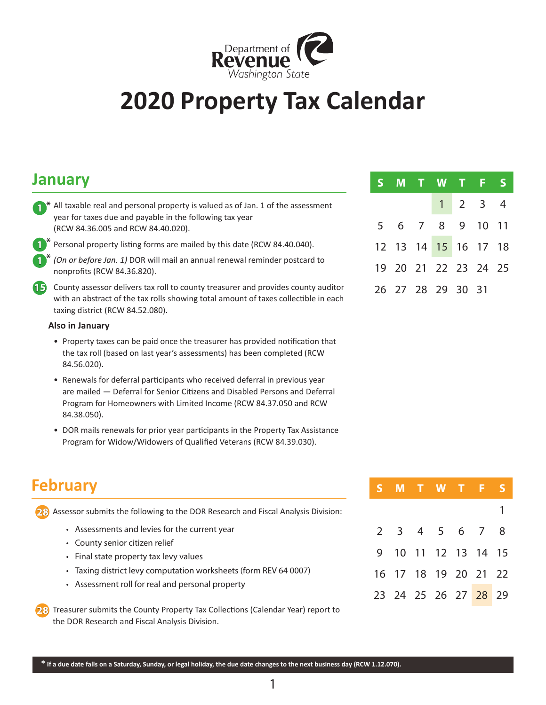

# **2020 Property Tax Calendar**

### **January**

- **1** \* All taxable real and personal property is valued as of Jan. 1 of the assessment year for taxes due and payable in the following tax year (RCW 84.36.005 and RCW 84.40.020).
- **\* 1**

Personal property listing forms are mailed by this date (RCW 84.40.040).

*(On or before Jan. 1)* DOR will mail an annual renewal reminder postcard to nonprofits (RCW 84.36.820). **\* 1**

**15** County assessor delivers tax roll to county treasurer and provides county auditor with an abstract of the tax rolls showing total amount of taxes collectible in each taxing district (RCW 84.52.080).

#### **Also in January**

- Property taxes can be paid once the treasurer has provided notification that the tax roll (based on last year's assessments) has been completed (RCW 84.56.020).
- Renewals for deferral participants who received deferral in previous year are mailed — Deferral for Senior Citizens and Disabled Persons and Deferral Program for Homeowners with Limited Income (RCW 84.37.050 and RCW 84.38.050).
- DOR mails renewals for prior year participants in the Property Tax Assistance Program for Widow/Widowers of Qualified Veterans (RCW 84.39.030).

| <b>February</b>                                                                     |     |    |    |  | M T W T F S          |  |
|-------------------------------------------------------------------------------------|-----|----|----|--|----------------------|--|
| 23 Assessor submits the following to the DOR Research and Fiscal Analysis Division: |     |    |    |  |                      |  |
| • Assessments and levies for the current year                                       |     |    |    |  | 4 5 6 7 8            |  |
| • County senior citizen relief                                                      |     |    |    |  |                      |  |
| • Final state property tax levy values                                              | 9   | 10 |    |  | 11 12 13 14 15       |  |
| • Taxing district levy computation worksheets (form REV 64 0007)                    | 16. |    | 18 |  | 19 20 21 22          |  |
| • Assessment roll for real and personal property                                    |     |    |    |  |                      |  |
|                                                                                     |     |    |    |  | 23 24 25 26 27 28 29 |  |
| 23 Treasurer submits the County Property Tax Collections (Calendar Year) report to  |     |    |    |  |                      |  |
| the DOR Research and Fiscal Analysis Division.                                      |     |    |    |  |                      |  |

# **S M T W T F S** 1 2 3 4 5 6 7 8 9 10 11 12 13 14 15 16 17 18 19 20 21 22 23 24 25 26 27 28 29 30 31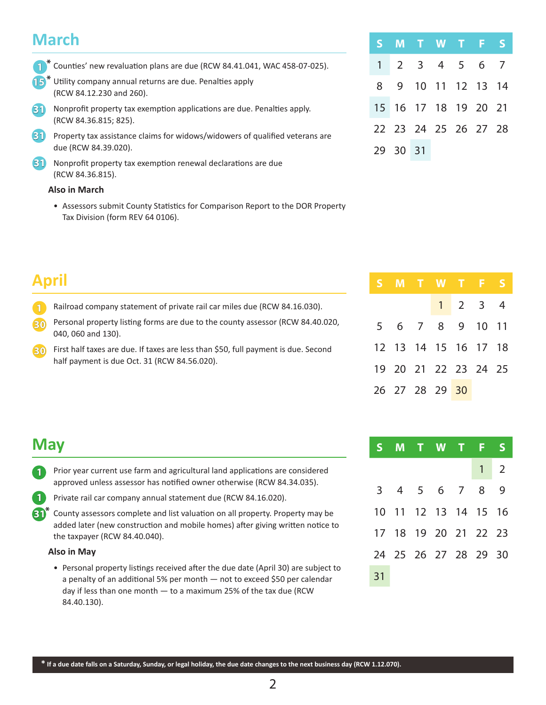# **March**

|  | <sup>1</sup> * Counties' new revaluation plans are due (RCW 84.41.041, WAC 458-07-025). |  |
|--|-----------------------------------------------------------------------------------------|--|
|  |                                                                                         |  |

- 15<sup>\*</sup> Utility company annual returns are due. Penalties apply (RCW 84.12.230 and 260).
- Nonprofit property tax exemption applications are due. Penalties apply. (RCW 84.36.815; 825). **31**
- Property tax assistance claims for widows/widowers of qualified veterans are **31** due (RCW 84.39.020).
- Nonprofit property tax exemption renewal declarations are due **31** (RCW 84.36.815).

#### **Also in March**

• Assessors submit County Statistics for Comparison Report to the DOR Property Tax Division (form REV 64 0106).

# **April**

- Railroad company statement of private rail car miles due (RCW 84.16.030). **1**
- Personal property listing forms are due to the county assessor (RCW 84.40.020, 040, 060 and 130). **30**
- First half taxes are due. If taxes are less than \$50, full payment is due. Second **30** half payment is due Oct. 31 (RCW 84.56.020).

| S M T W T F S        |  |  |  |
|----------------------|--|--|--|
| 1 2 3 4 5 6 7        |  |  |  |
| 8 9 10 11 12 13 14   |  |  |  |
| 15 16 17 18 19 20 21 |  |  |  |
| 22 23 24 25 26 27 28 |  |  |  |
| 29 30 31             |  |  |  |

|  | S M T W T F S        |                             |  |
|--|----------------------|-----------------------------|--|
|  |                      | $1 \quad 2 \quad 3 \quad 4$ |  |
|  | 5 6 7 8 9 10 11      |                             |  |
|  | 12 13 14 15 16 17 18 |                             |  |
|  | 19 20 21 22 23 24 25 |                             |  |
|  | 26 27 28 29 30       |                             |  |

|    |  | S M T W T F S        |  |             |
|----|--|----------------------|--|-------------|
|    |  |                      |  | $1 \quad 2$ |
|    |  | 3 4 5 6 7 8 9        |  |             |
|    |  | 10 11 12 13 14 15 16 |  |             |
|    |  | 17 18 19 20 21 22 23 |  |             |
|    |  | 24 25 26 27 28 29 30 |  |             |
| 31 |  |                      |  |             |

# **May**

**1**

- Prior year current use farm and agricultural land applications are considered approved unless assessor has notified owner otherwise (RCW 84.34.035). **1**
	- Private rail car company annual statement due (RCW 84.16.020).
- **31<sup>\*</sup>** County assessors complete and list valuation on all property. Property may be added later (new construction and mobile homes) after giving written notice to the taxpayer (RCW 84.40.040).

#### **Also in May**

• Personal property listings received after the due date (April 30) are subject to a penalty of an additional 5% per month — not to exceed \$50 per calendar day if less than one month — to a maximum 25% of the tax due (RCW 84.40.130).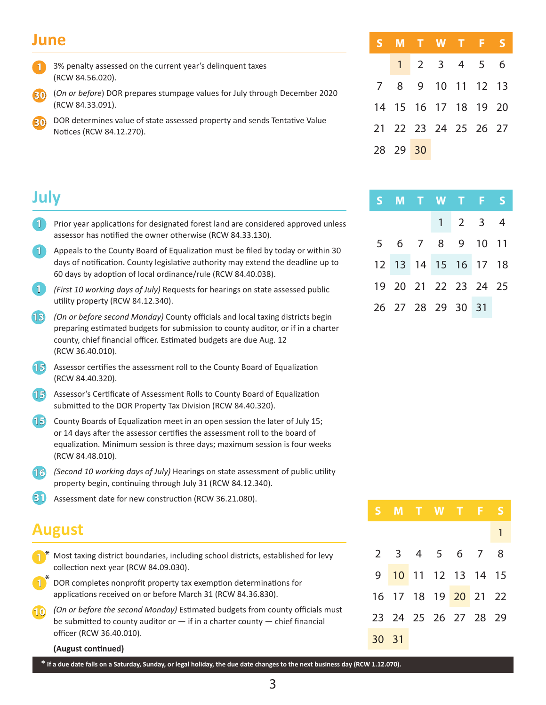### **June**

**July**

- 3% penalty assessed on the current year's delinquent taxes (RCW 84.56.020). **1**
- (*On or before*) DOR prepares stumpage values for July through December 2020 (RCW 84.33.091). **30**
- DOR determines value of state assessed property and sends Tentative Value Notices (RCW 84.12.270). **30**

|          |  | S M T W T <u>F S</u> |  |
|----------|--|----------------------|--|
|          |  | $1 2 3 4 5 6$        |  |
|          |  | 7 8 9 10 11 12 13    |  |
|          |  | 14 15 16 17 18 19 20 |  |
|          |  | 21 22 23 24 25 26 27 |  |
| 28 29 30 |  |                      |  |

|  | S M T W T F S        |                             |  |
|--|----------------------|-----------------------------|--|
|  |                      | $1 \quad 2 \quad 3 \quad 4$ |  |
|  | 5 6 7 8 9 10 11      |                             |  |
|  | 12 13 14 15 16 17 18 |                             |  |
|  | 19 20 21 22 23 24 25 |                             |  |
|  | 26 27 28 29 30 31    |                             |  |

- Prior year applications for designated forest land are considered approved unless assessor has notified the owner otherwise (RCW 84.33.130). **1**
- Appeals to the County Board of Equalization must be filed by today or within 30 **1** days of notification. County legislative authority may extend the deadline up to 60 days by adoption of local ordinance/rule (RCW 84.40.038).
- *(First 10 working days of July)* Requests for hearings on state assessed public utility property (RCW 84.12.340). **1**
- *(On or before second Monday)* County officials and local taxing districts begin preparing estimated budgets for submission to county auditor, or if in a charter county, chief financial officer. Estimated budgets are due Aug. 12 (RCW 36.40.010). **13**
- Assessor certifies the assessment roll to the County Board of Equalization (RCW 84.40.320). **15**
- Assessor's Certificate of Assessment Rolls to County Board of Equalization submitted to the DOR Property Tax Division (RCW 84.40.320). **15**
- County Boards of Equalization meet in an open session the later of July 15; **15** or 14 days after the assessor certifies the assessment roll to the board of equalization. Minimum session is three days; maximum session is four weeks (RCW 84.48.010).
- *(Second 10 working days of July)* Hearings on state assessment of public utility **16** property begin, continuing through July 31 (RCW 84.12.340).
- Assessment date for new construction (RCW 36.21.080). **31**

# **August**

- Most taxing district boundaries, including school districts, established for levy collection next year (RCW 84.09.030). **1 \***
- DOR completes nonprofit property tax exemption determinations for applications received on or before March 31 (RCW 84.36.830). **1 \***
- *(On or before the second Monday)* Estimated budgets from county officials must be submitted to county auditor or  $-$  if in a charter county  $-$  chief financial officer (RCW 36.40.010). **10**

#### **(August continued)**

**\* If a due date falls on a Saturday, Sunday, or legal holiday, the due date changes to the next business day (RCW 1.12.070).**

3

|       | S M T W T F S        |  |  |   |
|-------|----------------------|--|--|---|
|       |                      |  |  | 1 |
|       | 2 3 4 5 6 7 8        |  |  |   |
|       | 9 10 11 12 13 14 15  |  |  |   |
|       | 16 17 18 19 20 21 22 |  |  |   |
|       | 23 24 25 26 27 28 29 |  |  |   |
| 30 31 |                      |  |  |   |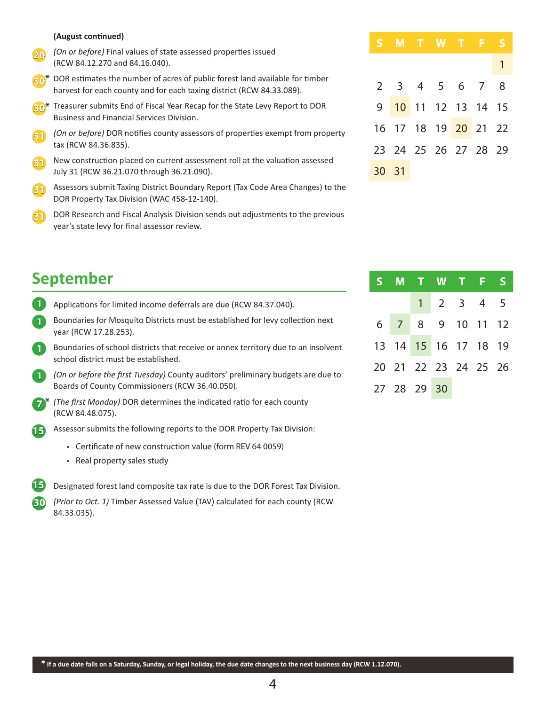#### **(August continued)**

- *(On or before)* Final values of state assessed properties issued (RCW 84.12.270 and 84.16.040). **20**
- **30<sup>\*</sup>** DOR estimates the number of acres of public forest land available for timber harvest for each county and for each taxing district (RCW 84.33.089).
- Treasurer submits End of Fiscal Year Recap for the State Levy Report to DOR **30 \*** Business and Financial Services Division.
- *(On or before)* DOR notifies county assessors of properties exempt from property tax (RCW 84.36.835). **31**
- New construction placed on current assessment roll at the valuation assessed July 31 (RCW 36.21.070 through 36.21.090). **31**
- Assessors submit Taxing District Boundary Report (Tax Code Area Changes) to the DOR Property Tax Division (WAC 458-12-140). **31**
- DOR Research and Fiscal Analysis Division sends out adjustments to the previous year's state levy for final assessor review. **31**

| <b>September</b> |  |
|------------------|--|
|------------------|--|

- Applications for limited income deferrals are due (RCW 84.37.040). **1**
- Boundaries for Mosquito Districts must be established for levy collection next year (RCW 17.28.253). **1**
- Boundaries of school districts that receive or annex territory due to an insolvent school district must be established. **1**
- *(On or before the first Tuesday)* County auditors' preliminary budgets are due to Boards of County Commissioners (RCW 36.40.050). **1**
- *(The first Monday)* DOR determines the indicated ratio for each county (RCW 84.48.075). **\* 7**

Assessor submits the following reports to the DOR Property Tax Division: **15**

- Certificate of new construction value (form REV 64 0059)
- Real property sales study



Designated forest land composite tax rate is due to the DOR Forest Tax Division.

*(Prior to Oct. 1)* Timber Assessed Value (TAV) calculated for each county (RCW **30** 84.33.035).

|       |  | S M T W T F S        |  |                |
|-------|--|----------------------|--|----------------|
|       |  |                      |  | $\overline{1}$ |
|       |  | 2 3 4 5 6 7 8        |  |                |
|       |  | 9 10 11 12 13 14 15  |  |                |
|       |  | 16 17 18 19 20 21 22 |  |                |
|       |  | 23 24 25 26 27 28 29 |  |                |
| 30 31 |  |                      |  |                |

|  | S M T W T F S        |             |  |  |
|--|----------------------|-------------|--|--|
|  |                      | $1 2 3 4 5$ |  |  |
|  | 6 7 8 9 10 11 12     |             |  |  |
|  | 13 14 15 16 17 18 19 |             |  |  |
|  | 20 21 22 23 24 25 26 |             |  |  |
|  | 27 28 29 30          |             |  |  |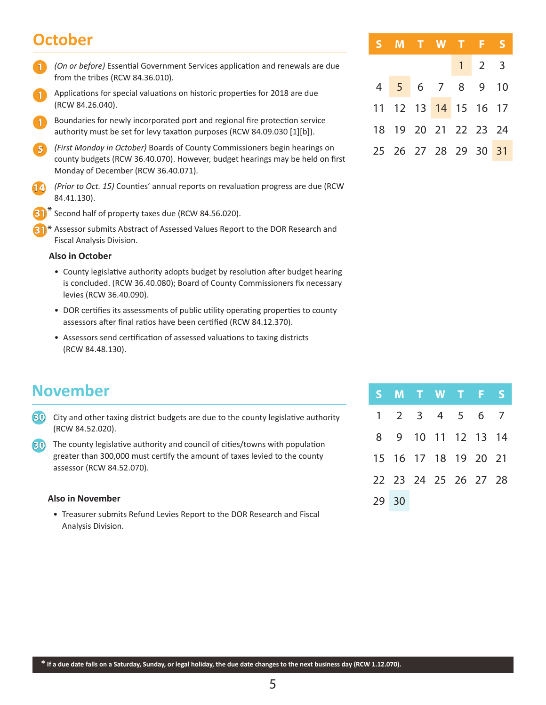# **October**

- *(On or before)* Essential Government Services application and renewals are due from the tribes (RCW 84.36.010). **1**
- Applications for special valuations on historic properties for 2018 are due (RCW 84.26.040). **1**
- Boundaries for newly incorporated port and regional fire protection service authority must be set for levy taxation purposes (RCW 84.09.030 [1][b]). **1**
- *(First Monday in October)* Boards of County Commissioners begin hearings on **5** county budgets (RCW 36.40.070). However, budget hearings may be held on first Monday of December (RCW 36.40.071).
- *(Prior to Oct. 15)* Counties' annual reports on revaluation progress are due (RCW 84.41.130). **14**
- Second half of property taxes due (RCW 84.56.020). **31 \***
- **31** \* Assessor submits Abstract of Assessed Values Report to the DOR Research and Fiscal Analysis Division.

#### **Also in October**

- County legislative authority adopts budget by resolution after budget hearing is concluded. (RCW 36.40.080); Board of County Commissioners fix necessary levies (RCW 36.40.090).
- DOR certifies its assessments of public utility operating properties to county assessors after final ratios have been certified (RCW 84.12.370).
- Assessors send certification of assessed valuations to taxing districts (RCW 84.48.130).

# **November**

City and other taxing district budgets are due to the county legislative authority **30** (RCW 84.52.020).

The county legislative authority and council of cities/towns with population **30** greater than 300,000 must certify the amount of taxes levied to the county assessor (RCW 84.52.070).

#### **Also in November**

• Treasurer submits Refund Levies Report to the DOR Research and Fiscal Analysis Division.

| S M T W T F S        |  |                     |  |
|----------------------|--|---------------------|--|
|                      |  | $1 \quad 2 \quad 3$ |  |
| 4 5 6 7 8 9 10       |  |                     |  |
| 11 12 13 14 15 16 17 |  |                     |  |
| 18 19 20 21 22 23 24 |  |                     |  |
| 25 26 27 28 29 30 31 |  |                     |  |

|       | S M T W T F S        |  |  |  |
|-------|----------------------|--|--|--|
|       | 1 2 3 4 5 6 7        |  |  |  |
|       | 8 9 10 11 12 13 14   |  |  |  |
|       | 15 16 17 18 19 20 21 |  |  |  |
|       | 22 23 24 25 26 27 28 |  |  |  |
| 29 30 |                      |  |  |  |